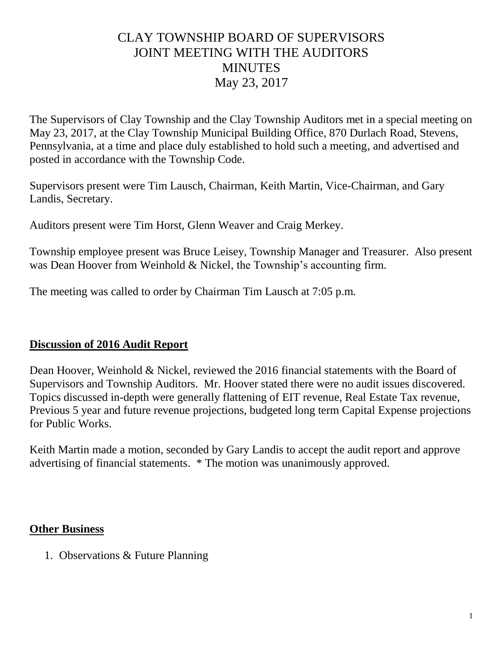## CLAY TOWNSHIP BOARD OF SUPERVISORS JOINT MEETING WITH THE AUDITORS **MINUTES** May 23, 2017

The Supervisors of Clay Township and the Clay Township Auditors met in a special meeting on May 23, 2017, at the Clay Township Municipal Building Office, 870 Durlach Road, Stevens, Pennsylvania, at a time and place duly established to hold such a meeting, and advertised and posted in accordance with the Township Code.

Supervisors present were Tim Lausch, Chairman, Keith Martin, Vice-Chairman, and Gary Landis, Secretary.

Auditors present were Tim Horst, Glenn Weaver and Craig Merkey.

Township employee present was Bruce Leisey, Township Manager and Treasurer. Also present was Dean Hoover from Weinhold & Nickel, the Township's accounting firm.

The meeting was called to order by Chairman Tim Lausch at 7:05 p.m.

## **Discussion of 2016 Audit Report**

Dean Hoover, Weinhold & Nickel, reviewed the 2016 financial statements with the Board of Supervisors and Township Auditors. Mr. Hoover stated there were no audit issues discovered. Topics discussed in-depth were generally flattening of EIT revenue, Real Estate Tax revenue, Previous 5 year and future revenue projections, budgeted long term Capital Expense projections for Public Works.

Keith Martin made a motion, seconded by Gary Landis to accept the audit report and approve advertising of financial statements. \* The motion was unanimously approved.

## **Other Business**

1. Observations & Future Planning